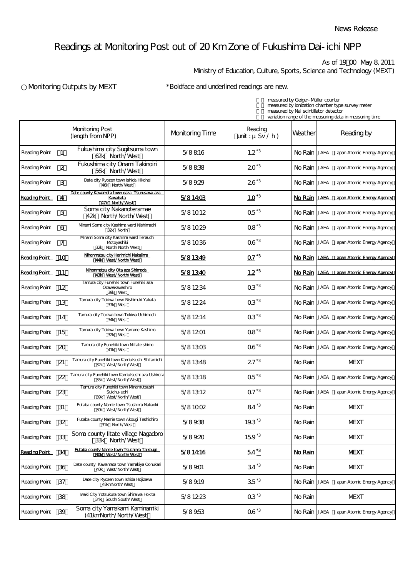## Readings at Monitoring Post out of 20 Km Zone of Fukushima Dai-ichi NPP

As of 19:00 May 8, 2011

Ministry of Education, Culture, Sports, Science and Technology (MEXT)

## Nonitoring Outputs by MEXT \*Boldface and underlined readings are new.

measured by Geiger-Müller counter measured by ionization chamber type survey meter measured by NaI scintillator detector variation range of the measuring data in measuring time

|                      |                | <b>Monitoring Post</b><br>(length from NPP)                                  | <b>Monitoring Time</b> | Reading<br>$unit: \mu Sv / h)$ | Weather   | Reading by                              |
|----------------------|----------------|------------------------------------------------------------------------------|------------------------|--------------------------------|-----------|-----------------------------------------|
| <b>Reading Point</b> | $\mathbf{1}$   | Fukushima city Sugitsuma town<br>62k North/West                              | 5/8816                 | $1.2^{*3}$                     |           | No Rain JAEA Japan Atomic Energy Agency |
| Reading Point        | $\overline{2}$ | Fukushima city Onami Takinoiri<br>56k North/West                             | 5/8838                 | $20^{3}$                       |           | No Rain JAEA Japan Atomic Energy Agency |
| Reading Point        | 3              | Date city Ryozen town Ishida Hikohei<br>46k North/West                       | 5/89.29                | $26^{3}$                       |           | No Rain JAEA Japan Atomic Energy Agency |
| <b>Reading Point</b> | <u>_4</u>      | Date county Kawamata town oaza Tsurusawa aza<br>Kavabata<br>47k North/West   | 5/81403                | $10^{3}$                       | No Rain I | JAEA<br>Japan Atomic Energy Agency      |
| Reading Point        | 5              | Soma city Nakanoteramae<br>42k North/North/West                              | 5/81012                | $05^{3}$                       |           | No Rain JAEA Japan Atomic Energy Agency |
| <b>Reading Point</b> | 6              | Mnami Soma city Kashima ward Nishimachi<br>32k North                         | 5/81029                | $08^{3}$                       | No Rain I | JAEA Japan Atomic Energy Agency         |
| Reading Point        | 7              | Mnami Soma city Kashima ward Terauchi<br>Motoyashiki<br>32k North/North/West | 5/81036                | $06^{3}$                       |           | No Rain JAEA Japan Atomic Energy Agency |
| Reading Point 10     |                | Nihonmatsu city Harimichi Nakajima<br>44k West/North/West                    | 5/81349                | $\overline{\Omega T}^{3}$      |           | No Rain JAEA Japan Atomic Energy Agency |
| Reading Point 11     |                | Nihonmatsu city Ota aza Shimoda<br>43k West/North/West                       | 5/81340                | $1.2^{13}$                     | No Rain   | JAEA Japan Atomic Energy Agency         |
| Reading Point        | 12             | Tamura city Funehiki town Funehiki aza<br>Ozavakavashiro<br>39k West         | 5/81234                | $03^{3}$                       |           | No Rain JAEA Japan Atomic Energy Agency |
| Reading Point        | 13             | Tamura city Tokiwa town Nishimuki Yakata<br>37k West                         | 5/81224                | $03^{\texttt{A}3}$             |           | No Rain JAEA Japan Atomic Energy Agency |
| Reading Point        | 14             | Tamura city Tokiwa town Tokiwa Uchimachi<br>34k West                         | 5/81214                | $03^{\ast}3$                   |           | No Rain JAEA Japan Atomic Energy Agency |
| <b>Reading Point</b> | 15             | Tamura city Tokiwa town Yamane Kashima<br>32k West                           | 5/81201                | $08^{3}$                       |           | No Rain JAEA Japan Atomic Energy Agency |
| Reading Point        | 20             | Tamura city Funehiki town Niitate shimo<br>41k West                          | 5/81303                | $06^{3}$                       |           | No Rain JAEA Japan Atomic Energy Agency |
| Reading Point        | 21             | Tamura city Funehiki town Kamiutsushi Shitamichi<br>32k West/North/West      | 5/81348                | $27^{3}$                       | No Rain   | <b>MEXT</b>                             |
| Reading Point        | 22             | Tamura city Funehiki town Kamiutsushi aza Ushirota<br>35k West/North/West    | 5/81318                | $Q5^{3}$                       |           | No Rain JAEA Japan Atomic Energy Agency |
| Reading Point        | 23             | Tamura city Funehiki town Mnamiutsushi<br>Suichu-uchi<br>39k West/North/West | 5/81312                | $Q7^{3}$                       |           | No Rain JAEA Japan Atomic Energy Agency |
| Reading Point        | 31             | Futaba county Namie town Tsushima Nakaoki<br>30k West/North/West             | 5/81002                | $84^{3}$                       | No Rain   | <b>MEXT</b>                             |
| <b>Reading Point</b> | 32             | Futaba county Namie town Akougi Teshichiro<br>31k North/West                 | 5/89.38                | $19.3^{\ast}3$                 | No Rain   | <b>MEXT</b>                             |
| <b>Reading Point</b> | 33             | Soma county litate village Nagadoro<br>33k North/West                        | 5/89.20                | $159^{3}$                      | No Rain   | <b>MEXT</b>                             |
| Reading Point 34     |                | <b>Futaba county Namie town Tsushima Taikoud</b><br>30k West/North/West      | 5/81416                | $54^{3}$                       | No Rain   | <b>MEXT</b>                             |
| Reading Point        | 36             | Date county Kawamata town Yamakiya Oonukari<br>40k West/North/West           | 5/8901                 | $34^{3}$                       | No Rain   | <b>MEXT</b>                             |
| Reading Point        | 37             | Date city Ryozen town Ishida Hojizawa<br>48kmNorth/West                      | 5/8919                 | $35^{3}$                       |           | No Rain JAEA Japan Atomic Energy Agency |
| Reading Point        | 38             | Iwaki City Yotsukura town Shiraiwa Hokita<br>34k South/South/West            | 5/81223                | $03^{3}$                       | No Rain   | <b>MEXT</b>                             |
| <b>Reading Point</b> | 39             | Soma city Yamakami Kaminamiki<br>(41kmNorth/North/West                       | 5/89.53                | $06^{3}$                       |           | No Rain JAEA Japan Atomic Energy Agency |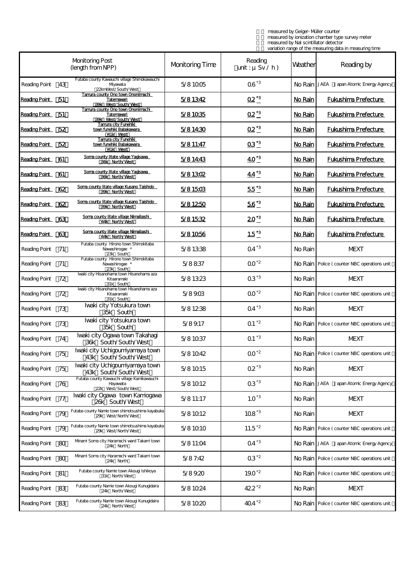measured by Geiger-Müller counter measured by ionization chamber type survey meter measured by NaI scintillator detector variation range of the measuring data in measuring time

|                      |    | <b>Monitoring Post</b><br>(length from NPP)                                     | <b>Monitoring Time</b> | Reading<br>unit: $\mu$ Sv / h) | Weather | Reading by                                     |
|----------------------|----|---------------------------------------------------------------------------------|------------------------|--------------------------------|---------|------------------------------------------------|
| <b>Reading Point</b> | 43 | Futaba county Kawauchi village Shimokawauchi<br>Myawata<br>22kmWest/South/West  | 5/81005                | $06^{3}$                       |         | No Rain JAEA Japan Atomic Energy Agency        |
| Reading Point 51     |    | Tamura county Ono town Ononlimachi<br>Tatemawari<br>39k West/South/West         | 5/81342                | $\Omega^{2^{*3}}$              | No Rain | <b>Fukushima Prefecture</b>                    |
| Reading Point 51     |    | Tamura county Ono town Ononlimachi<br>Ta <u>temawari</u><br>39k West/South/West | 5/81035                | $Q2^{3}$                       | No Rain | <b>Fukushima Prefecture</b>                    |
| Reading Point 52     |    | Tamura city Funehiki<br>town funehiki Babakawara<br>41k West                    | 5/81430                | $Q^*3$                         | No Rain | <b>Fukushima Prefecture</b>                    |
| Reading Point 52     |    | <u>Tamura city Funehiki</u><br>town funehiki Babakawara<br>41k West             | 5/811:47               | $Q3^{3}$                       | No Rain | <b>Fukushima Prefecture</b>                    |
| Reading Point 61     |    | Soma county litate village Yagisawa<br>36k North/West                           | 5/81443                | $40^{3}$                       | No Rain | <b>Fukushima Prefecture</b>                    |
| Reading Point 61     |    | Soma county litate village Yagisawa<br>36k North/West                           | 5/81302                | $44^{3}$                       | No Rain | <b>Fukushima Prefecture</b>                    |
| Reading Point 62     |    | Soma county litate village Kusano Taishido<br>39k North/West                    | 5/81503                | $55^{3}$                       | No Rain | <b>Fukushima Prefecture</b>                    |
| Reading Point 62     |    | Soma county litate village Kusano Taishido<br>39k North/West                    | 5/81250                | $\frac{56^{43}}{2}$            | No Rain | <b>Fukushima Prefecture</b>                    |
| Reading Point 63     |    | Soma county litate village Nimaibashi<br>44k North/West                         | 5/81532                | $20^{3}$                       | No Rain | <b>Fukushima Prefecture</b>                    |
| Reading Point 63     |    | Soma county litate village Nimaibashi<br>44k North/West                         | 5/81056                | $1.5^{*3}$                     | No Rain | <b>Fukushima Prefecture</b>                    |
| <b>Reading Point</b> | 71 | Futaba county Hirono town Shimokitaba<br>Navashirogae *<br>23k South            | 5/81338                | $Q4^{\star 3}$                 | No Rain | <b>MEXT</b>                                    |
| <b>Reading Point</b> | 71 | Futaba county Hirono town Shimokitaba<br>Navashirogae *<br>23k South            | 5/8837                 | $00^{2}$                       |         | No Rain   Police (counter NBC operations unit  |
| <b>Reading Point</b> | 72 | Ivaki city Hisanohama town Hisanohama aza<br>Kitaaramaki<br>31k South           | 5/81323                | $03^{\ast}3$                   | No Rain | <b>MEXT</b>                                    |
| Reading Point        | 72 | Iwaki city Hisanohama town Hisanohama aza<br>Kitaaramaki<br>31k South           | 5/8903                 | $00^{2}$                       |         | No Rain   Police (counter NBC operations unit  |
| Reading Point        | 73 | Ivaki city Yotsukura town<br>35k South                                          | 5/81238                | $Q4^*$ <sup>3</sup>            | No Rain | <b>MEXT</b>                                    |
| <b>Reading Point</b> | 73 | Ivaki city Yotsukura town<br>35k South                                          | 5/89.17                | $Q1^2$                         |         | No Rain   Police (counter NBC operations unit  |
| <b>Reading Point</b> | 74 | Iwaki city Ogawa town Takahagi<br>36k South/South/West                          | 5/81037                | $Q1^*$ <sup>3</sup>            | No Rain | <b>MEXT</b>                                    |
| <b>Reading Point</b> | 75 | Ivaki city Uchigoumiyamaya town<br>43k South/South/West                         | 5/81042                | $00^{2}$                       |         | No Rain Police (counter NBC operations unit    |
| <b>Reading Point</b> | 75 | Iwaki city Uchigoumiyamaya town<br>43k South/South/West                         | 5/81015                | $02^{3}$                       | No Rain | <b>MEXT</b>                                    |
| Reading Point        | 76 | Futaba county Kawauchi village Kamikawauchi<br>Hayawata<br>22k West/South/West  | 5/81012                | $03^{3}$                       |         | No Rain   JAEA Japan Atomic Energy Agency      |
| <b>Reading Point</b> | 77 | Iwaki city Ogawa town Kamiogawa<br>26k South/West                               | 5/811:17               | $1.0^{3}$                      | No Rain | <b>MEXT</b>                                    |
| <b>Reading Point</b> | 79 | Futaba county Namie town shimotsushima kayabuka<br>29k West/North/West          | 5/81012                | $108^{3}$                      | No Rain | <b>MEXT</b>                                    |
| Reading Point        | 79 | Futaba county Namie town shimotsushima kayabuka<br>29k West/North/West          | 5/81010                | $11.5^{2}$                     |         | No Rain   Police (counter NBC operations unit  |
| Reading Point        | 80 | Mnami Soma city Haramachi ward Takami town<br>24k North                         | 5/811:04               | $Q4^*$                         |         | No Rain JAEA Japan Atomic Energy Agency        |
| Reading Point        | 80 | Mnami Soma city Haramachi ward Takami town<br>24k North                         | 5/87:42                | $03^{2}$                       |         | No Rain   Police (counter NBC operations unit  |
| Reading Point        | ଖ  | Futaba county Namie town Akougi Ishikoya<br>31k North/West                      | 5/89.20                | $19.0^{2}$                     |         | No Rain   Police ( counter NBC operations unit |
| Reading Point        | 83 | Futaba county Namie town Akougi Kunugidaira<br>24k North/West                   | 5/81024                | $422^{2}$                      | No Rain | <b>MEXT</b>                                    |
| Reading Point        | 83 | Futaba county Namie town Akougi Kunugidaira<br>24k North/West                   | 5/81020                | $404^{2}$                      |         | No Rain   Police (counter NBC operations unit  |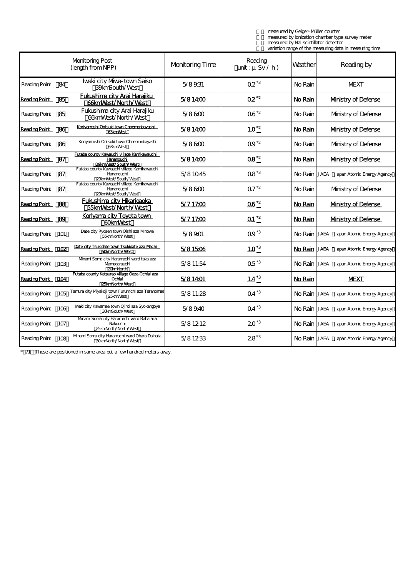measured by Geiger-Müller counter measured by ionization chamber type survey meter measured by NaI scintillator detector variation range of the measuring data in measuring time

|                      |                 |                                                                                                |                        |                                |         | ranaton nango or the measuring adia in measuring time |
|----------------------|-----------------|------------------------------------------------------------------------------------------------|------------------------|--------------------------------|---------|-------------------------------------------------------|
|                      |                 | <b>Monitoring Post</b><br>(length from NPP)                                                    | <b>Monitoring Time</b> | Reading<br>unit: $\mu$ Sv / h) | Weather | Reading by                                            |
| <b>Reading Point</b> | 84              | Iwaki city Mwa-town Saiso<br>39kmSouth/West                                                    | 5/89.31                | $02^{3}$                       | No Rain | <b>MEXT</b>                                           |
| Reading Point 85     |                 | <b>Fukushima city Arai Harajiku</b><br><b>66kmWest/North/West</b>                              | 5/81400                | $Q2^2$                         | No Rain | <b>Mnistry of Defense</b>                             |
| <b>Reading Point</b> | 85              | Fukushima city Arai Harajiku<br>66kmMest/North/West                                            | 5/8600                 | $06^{2}$                       | No Rain | Mnistry of Defense                                    |
| Reading Point 86     |                 | Korivamashi Ootsuki town Choemonbayashi<br>63kmMest                                            | 5/81400                | $10^{12}$                      | No Rain | <b>Mnistry of Defense</b>                             |
| <b>Reading Point</b> | 86              | Koriyamashi Ootsuki town Choemonbayashi<br>63kmMest                                            | 5/8600                 | $09^{2}$                       | No Rain | Mnistry of Defense                                    |
| Reading Point 87     |                 | <u>Futaba county Kawauchi village Kamikawauchi</u><br><b>Hananouchi</b><br>29kmWest/South/West | 5/81400                | $\overline{\Omega8}^{2}$       | No Rain | <b>Mnistry of Defense</b>                             |
| <b>Reading Point</b> | 87              | Futaba county Kawauchi village Kamikawauchi<br>Hananouchi<br>29kmWest/South/West               | 5/81045                | $08^{3}$                       |         | No Rain JAEA Japan Atomic Energy Agency               |
| <b>Reading Point</b> | 87              | Futaba county Kawauchi village Kamikawauchi<br>Hananouchi<br>29kmWest/South/West               | 5/8600                 | $Q7^2$                         | No Rain | Mnistry of Defense                                    |
| Reading Point 88     |                 | <b>Fukushima city Hikarigaoka</b><br>55kmWest/North/West                                       | 5/717:00               | $\overline{06}^{\ast 2}$       | No Rain | <b>Mnistry of Defense</b>                             |
| Reading Point 89     |                 | Koriyama city Toyota town<br><b>60kmMest</b>                                                   | 5/717:00               | $\Omega$ <sup>*2</sup>         | No Rain | <b>Mnistry of Defense</b>                             |
| <b>Reading Point</b> | 101             | Date city Ryozen town Oishi aza Mnowa<br>55kmNorth/West                                        | 5/8901                 | $Q9^{3}$                       |         | No Rain JAEA Japan Atomic Energy Agency               |
| Reading Point 102    |                 | Date city Tsukidate town Tsukidate aza Machi<br>50kmNorth/West                                 | 5/81506                | $10^{3}$                       |         | No Rain JAEA Japan Atomic Energy Agency               |
| <b>Reading Point</b> | 103             | Mnami Soma city Haramachi ward taka aza<br>Mamegarauchi<br>20kmNorth                           | 5/811:54               | $Q5^{3}$                       |         | No Rain JAEA Japan Atomic Energy Agency               |
| Reading Point 104    |                 | <u>Futaba county Katsurao village Oaza Ochiai aza</u><br>Ochiai<br>25kmNorth/West              | 5/81401                | $1.4^{3}$                      | No Rain | <b>MEXT</b>                                           |
| <b>Reading Point</b> | 10 <sub>5</sub> | Tamura city Myakoji town Furumichi aza Teranomae<br>25kmWest                                   | 5/811:28               | $Q4^{\star 3}$                 |         | No Rain JAEA Japan Atomic Energy Agency               |
| <b>Reading Point</b> | 106             | Iwaki city Kawamae town Ojiroi aza Syokangoya<br>30kmSouth/West                                | 5/89.40                | $Q4^{\ast}$ <sup>3</sup>       |         | No Rain JAEA Japan Atomic Energy Agency               |
| <b>Reading Point</b> | 107             | Mnami Soma city Haramachi ward Baba aza<br>Nakouchi<br>25kmNorth/North/West                    | 5/81212                | $20^{3}$                       |         | No Rain JAEA Japan Atomic Energy Agency               |
| <b>Reading Point</b> | 108             | Mnami Soma city Haramachi ward Ohara Daihata<br>30kmNorth/North/West                           | 5/81233                | $28^{3}$                       |         | No Rain JAEA Japan Atomic Energy Agency               |

\* 71 These are positioned in same area but a few hundred meters away.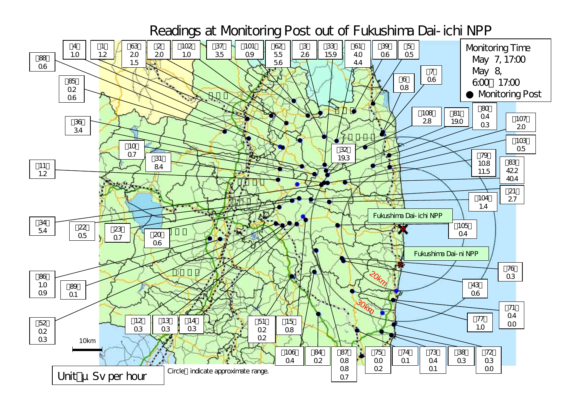Readings at Monitoring Post out of Fukushima Dai-ichi NPP